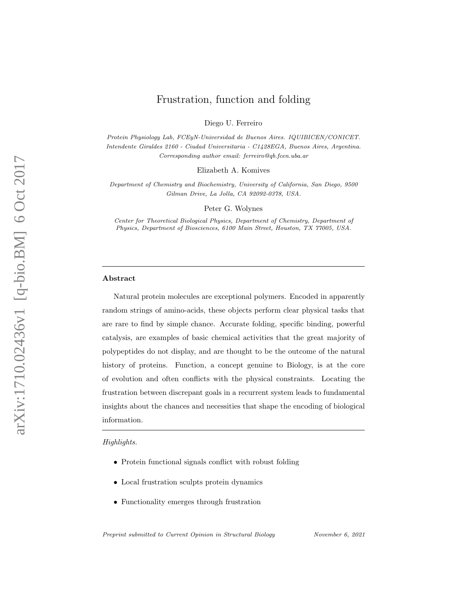# Frustration, function and folding

Diego U. Ferreiro

Protein Physiology Lab, FCEyN-Universidad de Buenos Aires. IQUIBICEN/CONICET. Intendente Giraldes 2160 - Ciudad Universitaria - C1428EGA, Buenos Aires, Argentina. Corresponding author email: ferreiro@qb.fcen.uba.ar

Elizabeth A. Komives

Department of Chemistry and Biochemistry, University of California, San Diego, 9500 Gilman Drive, La Jolla, CA 92092-0378, USA.

Peter G. Wolynes

Center for Theoretical Biological Physics, Department of Chemistry, Department of Physics, Department of Biosciences, 6100 Main Street, Houston, TX 77005, USA.

### Abstract

Natural protein molecules are exceptional polymers. Encoded in apparently random strings of amino-acids, these objects perform clear physical tasks that are rare to find by simple chance. Accurate folding, specific binding, powerful catalysis, are examples of basic chemical activities that the great majority of polypeptides do not display, and are thought to be the outcome of the natural history of proteins. Function, a concept genuine to Biology, is at the core of evolution and often conflicts with the physical constraints. Locating the frustration between discrepant goals in a recurrent system leads to fundamental insights about the chances and necessities that shape the encoding of biological information.

Highlights.

- Protein functional signals conflict with robust folding
- Local frustration sculpts protein dynamics
- Functionality emerges through frustration

Preprint submitted to Current Opinion in Structural Biology November 6, 2021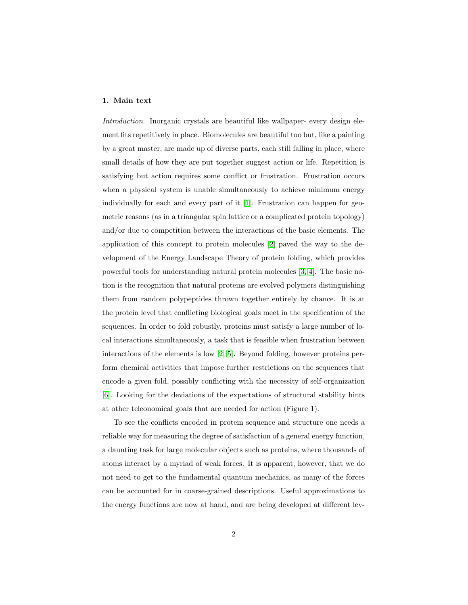### 1. Main text

Introduction. Inorganic crystals are beautiful like wallpaper- every design element fits repetitively in place. Biomolecules are beautiful too but, like a painting by a great master, are made up of diverse parts, each still falling in place, where small details of how they are put together suggest action or life. Repetition is satisfying but action requires some conflict or frustration. Frustration occurs when a physical system is unable simultaneously to achieve minimum energy individually for each and every part of it [\[1\]](#page-9-0). Frustration can happen for geometric reasons (as in a triangular spin lattice or a complicated protein topology) and/or due to competition between the interactions of the basic elements. The application of this concept to protein molecules [\[2\]](#page-10-0) paved the way to the development of the Energy Landscape Theory of protein folding, which provides powerful tools for understanding natural protein molecules [\[3,](#page-10-1) [4\]](#page-10-2). The basic notion is the recognition that natural proteins are evolved polymers distinguishing them from random polypeptides thrown together entirely by chance. It is at the protein level that conflicting biological goals meet in the specification of the sequences. In order to fold robustly, proteins must satisfy a large number of local interactions simultaneously, a task that is feasible when frustration between interactions of the elements is low  $[2, 5]$  $[2, 5]$ . Beyond folding, however proteins perform chemical activities that impose further restrictions on the sequences that encode a given fold, possibly conflicting with the necessity of self-organization [\[6\]](#page-10-4). Looking for the deviations of the expectations of structural stability hints at other teleonomical goals that are needed for action (Figure 1).

To see the conflicts encoded in protein sequence and structure one needs a reliable way for measuring the degree of satisfaction of a general energy function, a daunting task for large molecular objects such as proteins, where thousands of atoms interact by a myriad of weak forces. It is apparent, however, that we do not need to get to the fundamental quantum mechanics, as many of the forces can be accounted for in coarse-grained descriptions. Useful approximations to the energy functions are now at hand, and are being developed at different lev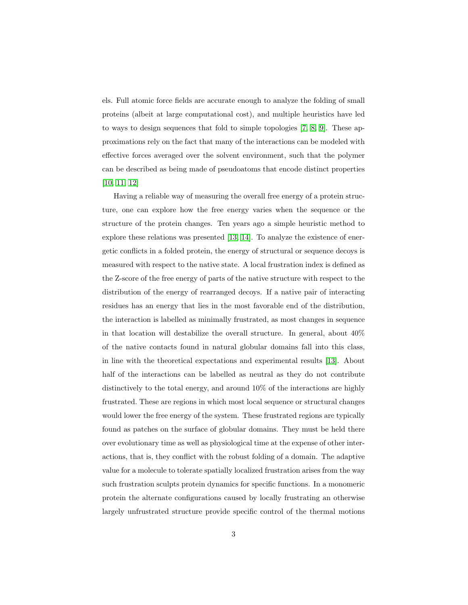els. Full atomic force fields are accurate enough to analyze the folding of small proteins (albeit at large computational cost), and multiple heuristics have led to ways to design sequences that fold to simple topologies [\[7,](#page-10-5) [8,](#page-10-6) [9\]](#page-10-7). These approximations rely on the fact that many of the interactions can be modeled with effective forces averaged over the solvent environment, such that the polymer can be described as being made of pseudoatoms that encode distinct properties [\[10,](#page-11-0) [11,](#page-11-1) [12\]](#page-11-2)

Having a reliable way of measuring the overall free energy of a protein structure, one can explore how the free energy varies when the sequence or the structure of the protein changes. Ten years ago a simple heuristic method to explore these relations was presented [\[13,](#page-11-3) [14\]](#page-11-4). To analyze the existence of energetic conflicts in a folded protein, the energy of structural or sequence decoys is measured with respect to the native state. A local frustration index is defined as the Z-score of the free energy of parts of the native structure with respect to the distribution of the energy of rearranged decoys. If a native pair of interacting residues has an energy that lies in the most favorable end of the distribution, the interaction is labelled as minimally frustrated, as most changes in sequence in that location will destabilize the overall structure. In general, about 40% of the native contacts found in natural globular domains fall into this class, in line with the theoretical expectations and experimental results [\[13\]](#page-11-3). About half of the interactions can be labelled as neutral as they do not contribute distinctively to the total energy, and around 10% of the interactions are highly frustrated. These are regions in which most local sequence or structural changes would lower the free energy of the system. These frustrated regions are typically found as patches on the surface of globular domains. They must be held there over evolutionary time as well as physiological time at the expense of other interactions, that is, they conflict with the robust folding of a domain. The adaptive value for a molecule to tolerate spatially localized frustration arises from the way such frustration sculpts protein dynamics for specific functions. In a monomeric protein the alternate configurations caused by locally frustrating an otherwise largely unfrustrated structure provide specific control of the thermal motions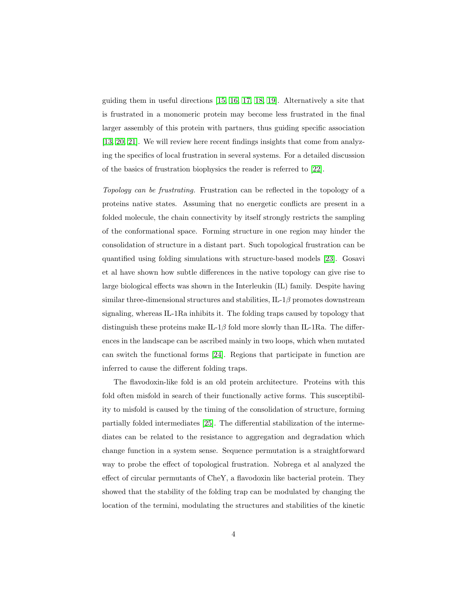guiding them in useful directions [\[15,](#page-11-5) [16,](#page-11-6) [17,](#page-11-7) [18,](#page-12-0) [19\]](#page-12-1). Alternatively a site that is frustrated in a monomeric protein may become less frustrated in the final larger assembly of this protein with partners, thus guiding specific association [\[13,](#page-11-3) [20,](#page-12-2) [21\]](#page-12-3). We will review here recent findings insights that come from analyzing the specifics of local frustration in several systems. For a detailed discussion of the basics of frustration biophysics the reader is referred to [\[22\]](#page-12-4).

Topology can be frustrating. Frustration can be reflected in the topology of a proteins native states. Assuming that no energetic conflicts are present in a folded molecule, the chain connectivity by itself strongly restricts the sampling of the conformational space. Forming structure in one region may hinder the consolidation of structure in a distant part. Such topological frustration can be quantified using folding simulations with structure-based models [\[23\]](#page-12-5). Gosavi et al have shown how subtle differences in the native topology can give rise to large biological effects was shown in the Interleukin (IL) family. Despite having similar three-dimensional structures and stabilities, IL-1 $\beta$  promotes downstream signaling, whereas IL-1Ra inhibits it. The folding traps caused by topology that distinguish these proteins make IL-1 $\beta$  fold more slowly than IL-1Ra. The differences in the landscape can be ascribed mainly in two loops, which when mutated can switch the functional forms [\[24\]](#page-12-6). Regions that participate in function are inferred to cause the different folding traps.

The flavodoxin-like fold is an old protein architecture. Proteins with this fold often misfold in search of their functionally active forms. This susceptibility to misfold is caused by the timing of the consolidation of structure, forming partially folded intermediates [\[25\]](#page-12-7). The differential stabilization of the intermediates can be related to the resistance to aggregation and degradation which change function in a system sense. Sequence permutation is a straightforward way to probe the effect of topological frustration. Nobrega et al analyzed the effect of circular permutants of CheY, a flavodoxin like bacterial protein. They showed that the stability of the folding trap can be modulated by changing the location of the termini, modulating the structures and stabilities of the kinetic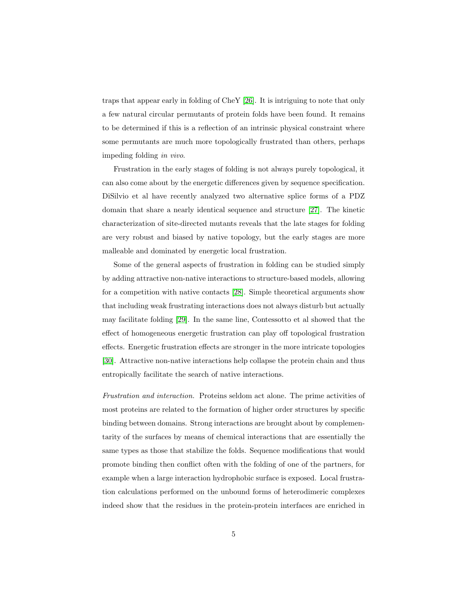traps that appear early in folding of CheY [\[26\]](#page-12-8). It is intriguing to note that only a few natural circular permutants of protein folds have been found. It remains to be determined if this is a reflection of an intrinsic physical constraint where some permutants are much more topologically frustrated than others, perhaps impeding folding in vivo.

Frustration in the early stages of folding is not always purely topological, it can also come about by the energetic differences given by sequence specification. DiSilvio et al have recently analyzed two alternative splice forms of a PDZ domain that share a nearly identical sequence and structure [\[27\]](#page-13-0). The kinetic characterization of site-directed mutants reveals that the late stages for folding are very robust and biased by native topology, but the early stages are more malleable and dominated by energetic local frustration.

Some of the general aspects of frustration in folding can be studied simply by adding attractive non-native interactions to structure-based models, allowing for a competition with native contacts [\[28\]](#page-13-1). Simple theoretical arguments show that including weak frustrating interactions does not always disturb but actually may facilitate folding [\[29\]](#page-13-2). In the same line, Contessotto et al showed that the effect of homogeneous energetic frustration can play off topological frustration effects. Energetic frustration effects are stronger in the more intricate topologies [\[30\]](#page-13-3). Attractive non-native interactions help collapse the protein chain and thus entropically facilitate the search of native interactions.

Frustration and interaction. Proteins seldom act alone. The prime activities of most proteins are related to the formation of higher order structures by specific binding between domains. Strong interactions are brought about by complementarity of the surfaces by means of chemical interactions that are essentially the same types as those that stabilize the folds. Sequence modifications that would promote binding then conflict often with the folding of one of the partners, for example when a large interaction hydrophobic surface is exposed. Local frustration calculations performed on the unbound forms of heterodimeric complexes indeed show that the residues in the protein-protein interfaces are enriched in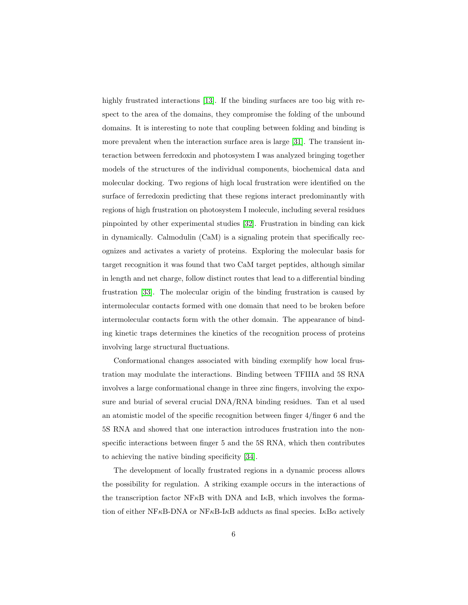highly frustrated interactions [\[13\]](#page-11-3). If the binding surfaces are too big with respect to the area of the domains, they compromise the folding of the unbound domains. It is interesting to note that coupling between folding and binding is more prevalent when the interaction surface area is large [\[31\]](#page-13-4). The transient interaction between ferredoxin and photosystem I was analyzed bringing together models of the structures of the individual components, biochemical data and molecular docking. Two regions of high local frustration were identified on the surface of ferredoxin predicting that these regions interact predominantly with regions of high frustration on photosystem I molecule, including several residues pinpointed by other experimental studies [\[32\]](#page-13-5). Frustration in binding can kick in dynamically. Calmodulin (CaM) is a signaling protein that specifically recognizes and activates a variety of proteins. Exploring the molecular basis for target recognition it was found that two CaM target peptides, although similar in length and net charge, follow distinct routes that lead to a differential binding frustration [\[33\]](#page-13-6). The molecular origin of the binding frustration is caused by intermolecular contacts formed with one domain that need to be broken before intermolecular contacts form with the other domain. The appearance of binding kinetic traps determines the kinetics of the recognition process of proteins involving large structural fluctuations.

Conformational changes associated with binding exemplify how local frustration may modulate the interactions. Binding between TFIIIA and 5S RNA involves a large conformational change in three zinc fingers, involving the exposure and burial of several crucial DNA/RNA binding residues. Tan et al used an atomistic model of the specific recognition between finger 4/finger 6 and the 5S RNA and showed that one interaction introduces frustration into the nonspecific interactions between finger 5 and the 5S RNA, which then contributes to achieving the native binding specificity [\[34\]](#page-13-7).

The development of locally frustrated regions in a dynamic process allows the possibility for regulation. A striking example occurs in the interactions of the transcription factor NF<sub>K</sub>B with DNA and  $I<sub>k</sub>B$ , which involves the formation of either NF<sub>K</sub>B-DNA or NF<sub>K</sub>B-I<sub>K</sub>B adducts as final species. I<sub>K</sub>B $\alpha$  actively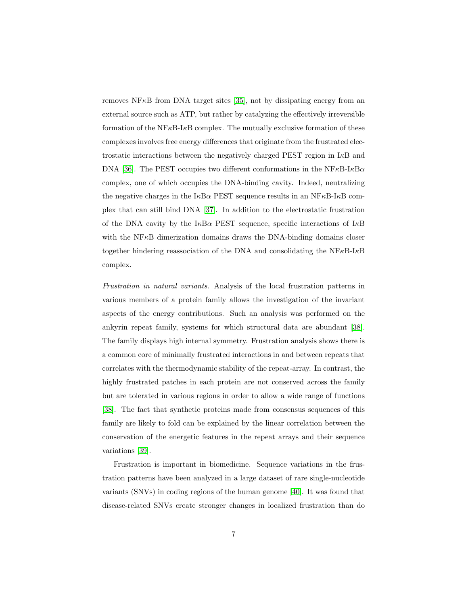removes  $NFAB$  from DNA target sites [\[35\]](#page-13-8), not by dissipating energy from an external source such as ATP, but rather by catalyzing the effectively irreversible formation of the NF $\kappa$ B-I $\kappa$ B complex. The mutually exclusive formation of these complexes involves free energy differences that originate from the frustrated electrostatic interactions between the negatively charged PEST region in IκB and DNA [\[36\]](#page-14-0). The PEST occupies two different conformations in the  $N F \kappa B$ -I $\kappa B \alpha$ complex, one of which occupies the DNA-binding cavity. Indeed, neutralizing the negative charges in the  $I\kappa B\alpha$  PEST sequence results in an NF $\kappa B$ -I $\kappa B$  complex that can still bind DNA [\[37\]](#page-14-1). In addition to the electrostatic frustration of the DNA cavity by the  $I\kappa B\alpha$  PEST sequence, specific interactions of  $I\kappa B$ with the  $NFRB$  dimerization domains draws the DNA-binding domains closer together hindering reassociation of the DNA and consolidating the  $N F \kappa B$ -I $\kappa B$ complex.

Frustration in natural variants. Analysis of the local frustration patterns in various members of a protein family allows the investigation of the invariant aspects of the energy contributions. Such an analysis was performed on the ankyrin repeat family, systems for which structural data are abundant [\[38\]](#page-14-2). The family displays high internal symmetry. Frustration analysis shows there is a common core of minimally frustrated interactions in and between repeats that correlates with the thermodynamic stability of the repeat-array. In contrast, the highly frustrated patches in each protein are not conserved across the family but are tolerated in various regions in order to allow a wide range of functions [\[38\]](#page-14-2). The fact that synthetic proteins made from consensus sequences of this family are likely to fold can be explained by the linear correlation between the conservation of the energetic features in the repeat arrays and their sequence variations [\[39\]](#page-14-3).

Frustration is important in biomedicine. Sequence variations in the frustration patterns have been analyzed in a large dataset of rare single-nucleotide variants (SNVs) in coding regions of the human genome [\[40\]](#page-14-4). It was found that disease-related SNVs create stronger changes in localized frustration than do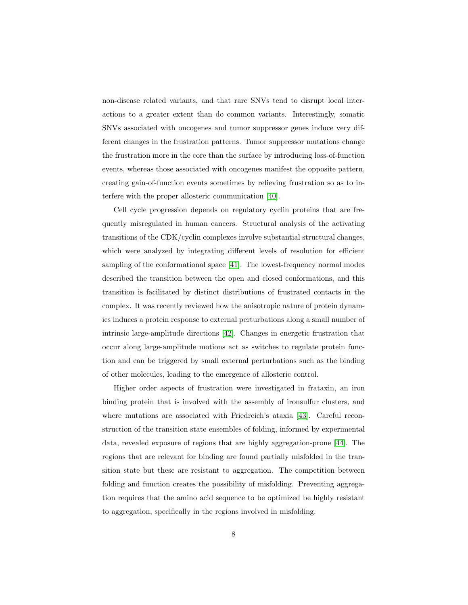non-disease related variants, and that rare SNVs tend to disrupt local interactions to a greater extent than do common variants. Interestingly, somatic SNVs associated with oncogenes and tumor suppressor genes induce very different changes in the frustration patterns. Tumor suppressor mutations change the frustration more in the core than the surface by introducing loss-of-function events, whereas those associated with oncogenes manifest the opposite pattern, creating gain-of-function events sometimes by relieving frustration so as to interfere with the proper allosteric communication [\[40\]](#page-14-4).

Cell cycle progression depends on regulatory cyclin proteins that are frequently misregulated in human cancers. Structural analysis of the activating transitions of the CDK/cyclin complexes involve substantial structural changes, which were analyzed by integrating different levels of resolution for efficient sampling of the conformational space [\[41\]](#page-14-5). The lowest-frequency normal modes described the transition between the open and closed conformations, and this transition is facilitated by distinct distributions of frustrated contacts in the complex. It was recently reviewed how the anisotropic nature of protein dynamics induces a protein response to external perturbations along a small number of intrinsic large-amplitude directions [\[42\]](#page-14-6). Changes in energetic frustration that occur along large-amplitude motions act as switches to regulate protein function and can be triggered by small external perturbations such as the binding of other molecules, leading to the emergence of allosteric control.

Higher order aspects of frustration were investigated in frataxin, an iron binding protein that is involved with the assembly of ironsulfur clusters, and where mutations are associated with Friedreich's ataxia [\[43\]](#page-14-7). Careful reconstruction of the transition state ensembles of folding, informed by experimental data, revealed exposure of regions that are highly aggregation-prone [\[44\]](#page-15-0). The regions that are relevant for binding are found partially misfolded in the transition state but these are resistant to aggregation. The competition between folding and function creates the possibility of misfolding. Preventing aggregation requires that the amino acid sequence to be optimized be highly resistant to aggregation, specifically in the regions involved in misfolding.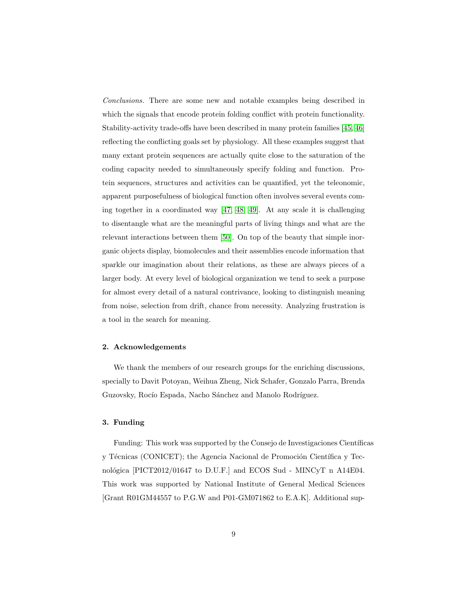Conclusions. There are some new and notable examples being described in which the signals that encode protein folding conflict with protein functionality. Stability-activity trade-offs have been described in many protein families [\[45,](#page-15-1) [46\]](#page-15-2) reflecting the conflicting goals set by physiology. All these examples suggest that many extant protein sequences are actually quite close to the saturation of the coding capacity needed to simultaneously specify folding and function. Protein sequences, structures and activities can be quantified, yet the teleonomic, apparent purposefulness of biological function often involves several events coming together in a coordinated way [\[47,](#page-15-3) [48,](#page-15-4) [49\]](#page-15-5). At any scale it is challenging to disentangle what are the meaningful parts of living things and what are the relevant interactions between them [\[50\]](#page-15-6). On top of the beauty that simple inorganic objects display, biomolecules and their assemblies encode information that sparkle our imagination about their relations, as these are always pieces of a larger body. At every level of biological organization we tend to seek a purpose for almost every detail of a natural contrivance, looking to distinguish meaning from noise, selection from drift, chance from necessity. Analyzing frustration is a tool in the search for meaning.

### 2. Acknowledgements

We thank the members of our research groups for the enriching discussions, specially to Davit Potoyan, Weihua Zheng, Nick Schafer, Gonzalo Parra, Brenda Guzovsky, Rocío Espada, Nacho Sánchez and Manolo Rodríguez.

#### 3. Funding

Funding: This work was supported by the Consejo de Investigaciones Científicas y Técnicas (CONICET); the Agencia Nacional de Promoción Científica y Tecnológica [PICT2012/01647 to D.U.F.] and ECOS Sud - MINCyT n A14E04. This work was supported by National Institute of General Medical Sciences [Grant R01GM44557 to P.G.W and P01-GM071862 to E.A.K]. Additional sup-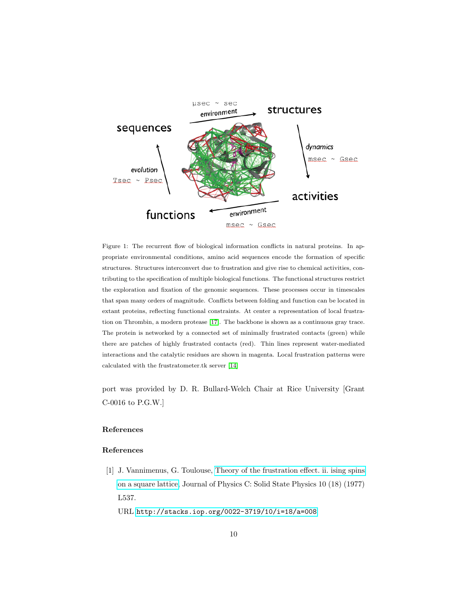

Figure 1: The recurrent flow of biological information conflicts in natural proteins. In appropriate environmental conditions, amino acid sequences encode the formation of specific structures. Structures interconvert due to frustration and give rise to chemical activities, contributing to the specification of multiple biological functions. The functional structures restrict the exploration and fixation of the genomic sequences. These processes occur in timescales that span many orders of magnitude. Conflicts between folding and function can be located in extant proteins, reflecting functional constraints. At center a representation of local frustration on Thrombin, a modern protease [\[17\]](#page-11-7). The backbone is shown as a continuous gray trace. The protein is networked by a connected set of minimally frustrated contacts (green) while there are patches of highly frustrated contacts (red). Thin lines represent water-mediated interactions and the catalytic residues are shown in magenta. Local frustration patterns were calculated with the frustratometer.tk server [\[14\]](#page-11-4)

port was provided by D. R. Bullard-Welch Chair at Rice University [Grant C-0016 to P.G.W.]

# References

# References

<span id="page-9-0"></span>[1] J. Vannimenus, G. Toulouse, [Theory of the frustration effect. ii. ising spins](http://stacks.iop.org/0022-3719/10/i=18/a=008) [on a square lattice,](http://stacks.iop.org/0022-3719/10/i=18/a=008) Journal of Physics C: Solid State Physics 10 (18) (1977) L537.

URL <http://stacks.iop.org/0022-3719/10/i=18/a=008>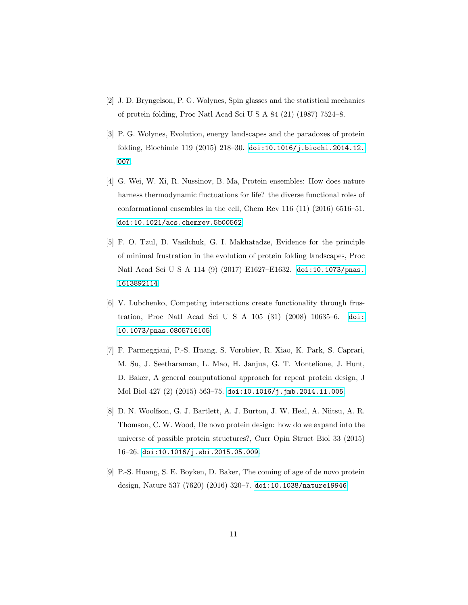- <span id="page-10-0"></span>[2] J. D. Bryngelson, P. G. Wolynes, Spin glasses and the statistical mechanics of protein folding, Proc Natl Acad Sci U S A 84 (21) (1987) 7524–8.
- <span id="page-10-1"></span>[3] P. G. Wolynes, Evolution, energy landscapes and the paradoxes of protein folding, Biochimie 119 (2015) 218–30. [doi:10.1016/j.biochi.2014.12.](http://dx.doi.org/10.1016/j.biochi.2014.12.007) [007](http://dx.doi.org/10.1016/j.biochi.2014.12.007).
- <span id="page-10-2"></span>[4] G. Wei, W. Xi, R. Nussinov, B. Ma, Protein ensembles: How does nature harness thermodynamic fluctuations for life? the diverse functional roles of conformational ensembles in the cell, Chem Rev 116 (11) (2016) 6516–51. [doi:10.1021/acs.chemrev.5b00562](http://dx.doi.org/10.1021/acs.chemrev.5b00562).
- <span id="page-10-3"></span>[5] F. O. Tzul, D. Vasilchuk, G. I. Makhatadze, Evidence for the principle of minimal frustration in the evolution of protein folding landscapes, Proc Natl Acad Sci U S A 114 (9) (2017) E1627–E1632. [doi:10.1073/pnas.](http://dx.doi.org/10.1073/pnas.1613892114) [1613892114](http://dx.doi.org/10.1073/pnas.1613892114).
- <span id="page-10-4"></span>[6] V. Lubchenko, Competing interactions create functionality through frustration, Proc Natl Acad Sci U S A 105 (31) (2008) 10635–6. [doi:](http://dx.doi.org/10.1073/pnas.0805716105) [10.1073/pnas.0805716105](http://dx.doi.org/10.1073/pnas.0805716105).
- <span id="page-10-5"></span>[7] F. Parmeggiani, P.-S. Huang, S. Vorobiev, R. Xiao, K. Park, S. Caprari, M. Su, J. Seetharaman, L. Mao, H. Janjua, G. T. Montelione, J. Hunt, D. Baker, A general computational approach for repeat protein design, J Mol Biol 427 (2) (2015) 563-75. [doi:10.1016/j.jmb.2014.11.005](http://dx.doi.org/10.1016/j.jmb.2014.11.005).
- <span id="page-10-6"></span>[8] D. N. Woolfson, G. J. Bartlett, A. J. Burton, J. W. Heal, A. Niitsu, A. R. Thomson, C. W. Wood, De novo protein design: how do we expand into the universe of possible protein structures?, Curr Opin Struct Biol 33 (2015) 16–26. [doi:10.1016/j.sbi.2015.05.009](http://dx.doi.org/10.1016/j.sbi.2015.05.009).
- <span id="page-10-7"></span>[9] P.-S. Huang, S. E. Boyken, D. Baker, The coming of age of de novo protein design, Nature 537 (7620) (2016) 320–7. [doi:10.1038/nature19946](http://dx.doi.org/10.1038/nature19946).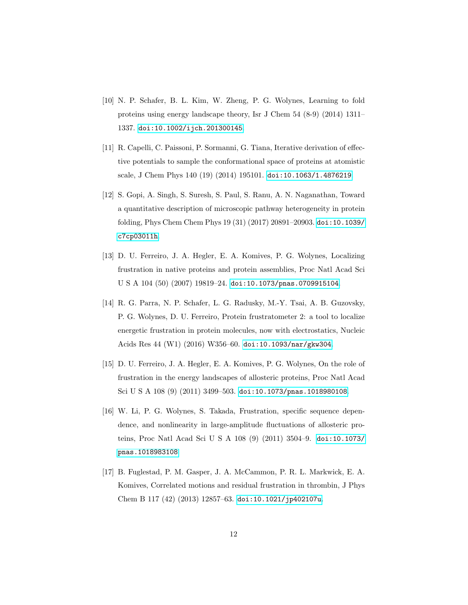- <span id="page-11-0"></span>[10] N. P. Schafer, B. L. Kim, W. Zheng, P. G. Wolynes, Learning to fold proteins using energy landscape theory, Isr J Chem 54 (8-9) (2014) 1311– 1337. [doi:10.1002/ijch.201300145](http://dx.doi.org/10.1002/ijch.201300145).
- <span id="page-11-1"></span>[11] R. Capelli, C. Paissoni, P. Sormanni, G. Tiana, Iterative derivation of effective potentials to sample the conformational space of proteins at atomistic scale, J Chem Phys 140 (19) (2014) 195101. [doi:10.1063/1.4876219](http://dx.doi.org/10.1063/1.4876219).
- <span id="page-11-2"></span>[12] S. Gopi, A. Singh, S. Suresh, S. Paul, S. Ranu, A. N. Naganathan, Toward a quantitative description of microscopic pathway heterogeneity in protein folding, Phys Chem Chem Phys 19 (31) (2017) 20891–20903. [doi:10.1039/](http://dx.doi.org/10.1039/c7cp03011h) [c7cp03011h](http://dx.doi.org/10.1039/c7cp03011h).
- <span id="page-11-3"></span>[13] D. U. Ferreiro, J. A. Hegler, E. A. Komives, P. G. Wolynes, Localizing frustration in native proteins and protein assemblies, Proc Natl Acad Sci U S A 104 (50) (2007) 19819–24. [doi:10.1073/pnas.0709915104](http://dx.doi.org/10.1073/pnas.0709915104).
- <span id="page-11-4"></span>[14] R. G. Parra, N. P. Schafer, L. G. Radusky, M.-Y. Tsai, A. B. Guzovsky, P. G. Wolynes, D. U. Ferreiro, Protein frustratometer 2: a tool to localize energetic frustration in protein molecules, now with electrostatics, Nucleic Acids Res 44 (W1) (2016) W356–60. [doi:10.1093/nar/gkw304](http://dx.doi.org/10.1093/nar/gkw304).
- <span id="page-11-5"></span>[15] D. U. Ferreiro, J. A. Hegler, E. A. Komives, P. G. Wolynes, On the role of frustration in the energy landscapes of allosteric proteins, Proc Natl Acad Sci U S A 108 (9) (2011) 3499–503. [doi:10.1073/pnas.1018980108](http://dx.doi.org/10.1073/pnas.1018980108).
- <span id="page-11-6"></span>[16] W. Li, P. G. Wolynes, S. Takada, Frustration, specific sequence dependence, and nonlinearity in large-amplitude fluctuations of allosteric proteins, Proc Natl Acad Sci U S A 108 (9) (2011) 3504–9. [doi:10.1073/](http://dx.doi.org/10.1073/pnas.1018983108) [pnas.1018983108](http://dx.doi.org/10.1073/pnas.1018983108).
- <span id="page-11-7"></span>[17] B. Fuglestad, P. M. Gasper, J. A. McCammon, P. R. L. Markwick, E. A. Komives, Correlated motions and residual frustration in thrombin, J Phys Chem B 117 (42) (2013) 12857–63. [doi:10.1021/jp402107u](http://dx.doi.org/10.1021/jp402107u).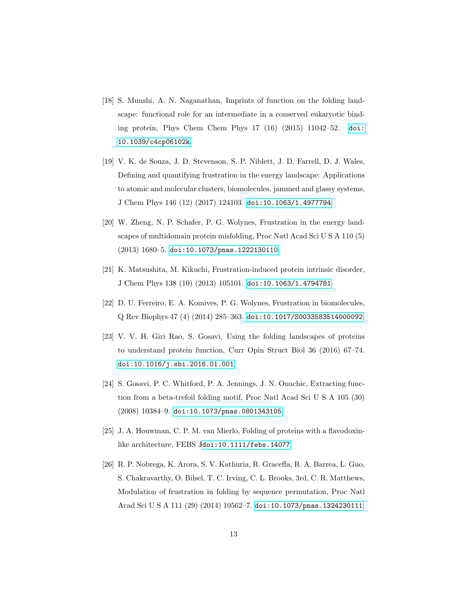- <span id="page-12-0"></span>[18] S. Munshi, A. N. Naganathan, Imprints of function on the folding landscape: functional role for an intermediate in a conserved eukaryotic binding protein, Phys Chem Chem Phys 17 (16) (2015) 11042–52. [doi:](http://dx.doi.org/10.1039/c4cp06102k) [10.1039/c4cp06102k](http://dx.doi.org/10.1039/c4cp06102k).
- <span id="page-12-1"></span>[19] V. K. de Souza, J. D. Stevenson, S. P. Niblett, J. D. Farrell, D. J. Wales, Defining and quantifying frustration in the energy landscape: Applications to atomic and molecular clusters, biomolecules, jammed and glassy systems, J Chem Phys 146 (12) (2017) 124103. [doi:10.1063/1.4977794](http://dx.doi.org/10.1063/1.4977794).
- <span id="page-12-2"></span>[20] W. Zheng, N. P. Schafer, P. G. Wolynes, Frustration in the energy landscapes of multidomain protein misfolding, Proc Natl Acad Sci U S A 110 (5) (2013) 1680–5. [doi:10.1073/pnas.1222130110](http://dx.doi.org/10.1073/pnas.1222130110).
- <span id="page-12-3"></span>[21] K. Matsushita, M. Kikuchi, Frustration-induced protein intrinsic disorder, J Chem Phys 138 (10) (2013) 105101. [doi:10.1063/1.4794781](http://dx.doi.org/10.1063/1.4794781).
- <span id="page-12-4"></span>[22] D. U. Ferreiro, E. A. Komives, P. G. Wolynes, Frustration in biomolecules, Q Rev Biophys 47 (4) (2014) 285–363. [doi:10.1017/S0033583514000092](http://dx.doi.org/10.1017/S0033583514000092).
- <span id="page-12-5"></span>[23] V. V. H. Giri Rao, S. Gosavi, Using the folding landscapes of proteins to understand protein function, Curr Opin Struct Biol 36 (2016) 67–74. [doi:10.1016/j.sbi.2016.01.001](http://dx.doi.org/10.1016/j.sbi.2016.01.001).
- <span id="page-12-6"></span>[24] S. Gosavi, P. C. Whitford, P. A. Jennings, J. N. Onuchic, Extracting function from a beta-trefoil folding motif, Proc Natl Acad Sci U S A 105 (30) (2008) 10384–9. [doi:10.1073/pnas.0801343105](http://dx.doi.org/10.1073/pnas.0801343105).
- <span id="page-12-7"></span>[25] J. A. Houwman, C. P. M. van Mierlo, Folding of proteins with a flavodoxinlike architecture, FEBS J[doi:10.1111/febs.14077](http://dx.doi.org/10.1111/febs.14077).
- <span id="page-12-8"></span>[26] R. P. Nobrega, K. Arora, S. V. Kathuria, R. Graceffa, R. A. Barrea, L. Guo, S. Chakravarthy, O. Bilsel, T. C. Irving, C. L. Brooks, 3rd, C. R. Matthews, Modulation of frustration in folding by sequence permutation, Proc Natl Acad Sci U S A 111 (29) (2014) 10562–7. [doi:10.1073/pnas.1324230111](http://dx.doi.org/10.1073/pnas.1324230111).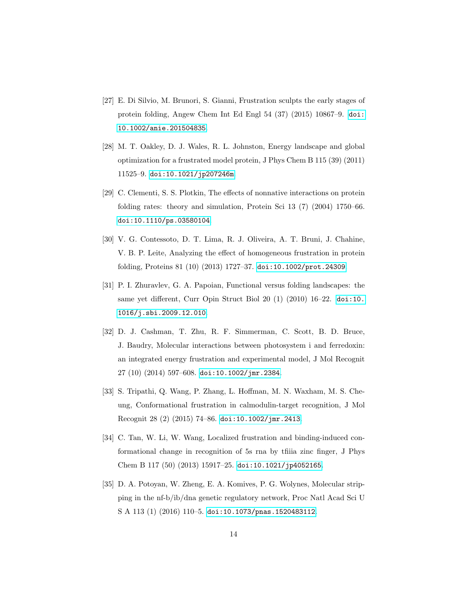- <span id="page-13-0"></span>[27] E. Di Silvio, M. Brunori, S. Gianni, Frustration sculpts the early stages of protein folding, Angew Chem Int Ed Engl 54 (37) (2015) 10867–9. [doi:](http://dx.doi.org/10.1002/anie.201504835) [10.1002/anie.201504835](http://dx.doi.org/10.1002/anie.201504835).
- <span id="page-13-1"></span>[28] M. T. Oakley, D. J. Wales, R. L. Johnston, Energy landscape and global optimization for a frustrated model protein, J Phys Chem B 115 (39) (2011) 11525–9. [doi:10.1021/jp207246m](http://dx.doi.org/10.1021/jp207246m).
- <span id="page-13-2"></span>[29] C. Clementi, S. S. Plotkin, The effects of nonnative interactions on protein folding rates: theory and simulation, Protein Sci 13 (7) (2004) 1750–66. [doi:10.1110/ps.03580104](http://dx.doi.org/10.1110/ps.03580104).
- <span id="page-13-3"></span>[30] V. G. Contessoto, D. T. Lima, R. J. Oliveira, A. T. Bruni, J. Chahine, V. B. P. Leite, Analyzing the effect of homogeneous frustration in protein folding, Proteins 81 (10) (2013) 1727–37. [doi:10.1002/prot.24309](http://dx.doi.org/10.1002/prot.24309).
- <span id="page-13-4"></span>[31] P. I. Zhuravlev, G. A. Papoian, Functional versus folding landscapes: the same yet different, Curr Opin Struct Biol 20 (1) (2010) 16–22. [doi:10.](http://dx.doi.org/10.1016/j.sbi.2009.12.010) [1016/j.sbi.2009.12.010](http://dx.doi.org/10.1016/j.sbi.2009.12.010).
- <span id="page-13-5"></span>[32] D. J. Cashman, T. Zhu, R. F. Simmerman, C. Scott, B. D. Bruce, J. Baudry, Molecular interactions between photosystem i and ferredoxin: an integrated energy frustration and experimental model, J Mol Recognit 27 (10) (2014) 597–608. [doi:10.1002/jmr.2384](http://dx.doi.org/10.1002/jmr.2384).
- <span id="page-13-6"></span>[33] S. Tripathi, Q. Wang, P. Zhang, L. Hoffman, M. N. Waxham, M. S. Cheung, Conformational frustration in calmodulin-target recognition, J Mol Recognit 28 (2) (2015) 74–86. [doi:10.1002/jmr.2413](http://dx.doi.org/10.1002/jmr.2413).
- <span id="page-13-7"></span>[34] C. Tan, W. Li, W. Wang, Localized frustration and binding-induced conformational change in recognition of 5s rna by tfiiia zinc finger, J Phys Chem B 117 (50) (2013) 15917–25. [doi:10.1021/jp4052165](http://dx.doi.org/10.1021/jp4052165).
- <span id="page-13-8"></span>[35] D. A. Potoyan, W. Zheng, E. A. Komives, P. G. Wolynes, Molecular stripping in the nf-b/ib/dna genetic regulatory network, Proc Natl Acad Sci U S A 113 (1) (2016) 110–5. [doi:10.1073/pnas.1520483112](http://dx.doi.org/10.1073/pnas.1520483112).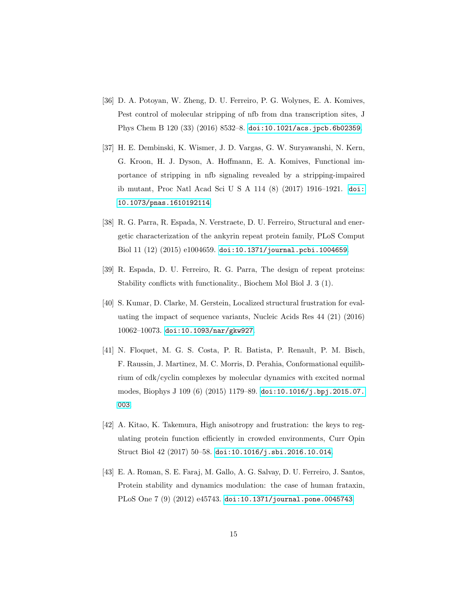- <span id="page-14-0"></span>[36] D. A. Potoyan, W. Zheng, D. U. Ferreiro, P. G. Wolynes, E. A. Komives, Pest control of molecular stripping of nfb from dna transcription sites, J Phys Chem B 120 (33) (2016) 8532–8. [doi:10.1021/acs.jpcb.6b02359](http://dx.doi.org/10.1021/acs.jpcb.6b02359).
- <span id="page-14-1"></span>[37] H. E. Dembinski, K. Wismer, J. D. Vargas, G. W. Suryawanshi, N. Kern, G. Kroon, H. J. Dyson, A. Hoffmann, E. A. Komives, Functional importance of stripping in nfb signaling revealed by a stripping-impaired ib mutant, Proc Natl Acad Sci U S A 114 (8) (2017) 1916–1921. [doi:](http://dx.doi.org/10.1073/pnas.1610192114) [10.1073/pnas.1610192114](http://dx.doi.org/10.1073/pnas.1610192114).
- <span id="page-14-2"></span>[38] R. G. Parra, R. Espada, N. Verstraete, D. U. Ferreiro, Structural and energetic characterization of the ankyrin repeat protein family, PLoS Comput Biol 11 (12) (2015) e1004659. [doi:10.1371/journal.pcbi.1004659](http://dx.doi.org/10.1371/journal.pcbi.1004659).
- <span id="page-14-3"></span>[39] R. Espada, D. U. Ferreiro, R. G. Parra, The design of repeat proteins: Stability conflicts with functionality., Biochem Mol Biol J. 3 (1).
- <span id="page-14-4"></span>[40] S. Kumar, D. Clarke, M. Gerstein, Localized structural frustration for evaluating the impact of sequence variants, Nucleic Acids Res 44 (21) (2016) 10062–10073. [doi:10.1093/nar/gkw927](http://dx.doi.org/10.1093/nar/gkw927).
- <span id="page-14-5"></span>[41] N. Floquet, M. G. S. Costa, P. R. Batista, P. Renault, P. M. Bisch, F. Raussin, J. Martinez, M. C. Morris, D. Perahia, Conformational equilibrium of cdk/cyclin complexes by molecular dynamics with excited normal modes, Biophys J 109 (6) (2015) 1179–89. [doi:10.1016/j.bpj.2015.07.](http://dx.doi.org/10.1016/j.bpj.2015.07.003) [003](http://dx.doi.org/10.1016/j.bpj.2015.07.003).
- <span id="page-14-6"></span>[42] A. Kitao, K. Takemura, High anisotropy and frustration: the keys to regulating protein function efficiently in crowded environments, Curr Opin Struct Biol 42 (2017) 50–58. [doi:10.1016/j.sbi.2016.10.014](http://dx.doi.org/10.1016/j.sbi.2016.10.014).
- <span id="page-14-7"></span>[43] E. A. Roman, S. E. Faraj, M. Gallo, A. G. Salvay, D. U. Ferreiro, J. Santos, Protein stability and dynamics modulation: the case of human frataxin, PLoS One 7 (9) (2012) e45743. [doi:10.1371/journal.pone.0045743](http://dx.doi.org/10.1371/journal.pone.0045743).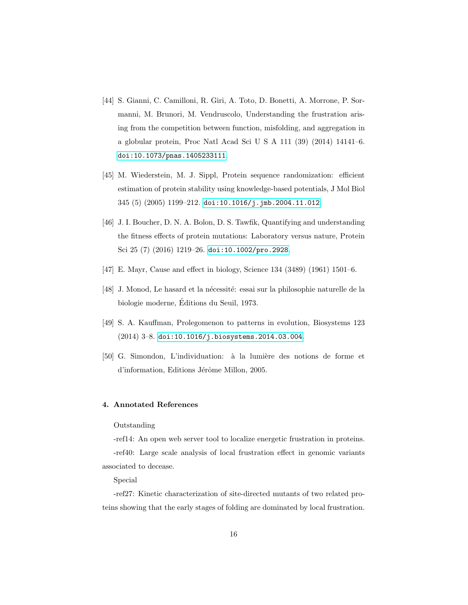- <span id="page-15-0"></span>[44] S. Gianni, C. Camilloni, R. Giri, A. Toto, D. Bonetti, A. Morrone, P. Sormanni, M. Brunori, M. Vendruscolo, Understanding the frustration arising from the competition between function, misfolding, and aggregation in a globular protein, Proc Natl Acad Sci U S A 111 (39) (2014) 14141–6. [doi:10.1073/pnas.1405233111](http://dx.doi.org/10.1073/pnas.1405233111).
- <span id="page-15-1"></span>[45] M. Wiederstein, M. J. Sippl, Protein sequence randomization: efficient estimation of protein stability using knowledge-based potentials, J Mol Biol 345 (5) (2005) 1199–212. [doi:10.1016/j.jmb.2004.11.012](http://dx.doi.org/10.1016/j.jmb.2004.11.012).
- <span id="page-15-2"></span>[46] J. I. Boucher, D. N. A. Bolon, D. S. Tawfik, Quantifying and understanding the fitness effects of protein mutations: Laboratory versus nature, Protein Sci 25 (7) (2016) 1219–26. [doi:10.1002/pro.2928](http://dx.doi.org/10.1002/pro.2928).
- <span id="page-15-3"></span>[47] E. Mayr, Cause and effect in biology, Science 134 (3489) (1961) 1501–6.
- <span id="page-15-4"></span>[48] J. Monod, Le hasard et la nécessité: essai sur la philosophie naturelle de la biologie moderne, Editions du Seuil, 1973. ´
- <span id="page-15-5"></span>[49] S. A. Kauffman, Prolegomenon to patterns in evolution, Biosystems 123 (2014) 3–8. [doi:10.1016/j.biosystems.2014.03.004](http://dx.doi.org/10.1016/j.biosystems.2014.03.004).
- <span id="page-15-6"></span>[50] G. Simondon, L'individuation: à la lumière des notions de forme et d'information, Editions Jérôme Millon, 2005.

### 4. Annotated References

### Outstanding

-ref14: An open web server tool to localize energetic frustration in proteins. -ref40: Large scale analysis of local frustration effect in genomic variants associated to decease.

## Special

-ref27: Kinetic characterization of site-directed mutants of two related proteins showing that the early stages of folding are dominated by local frustration.